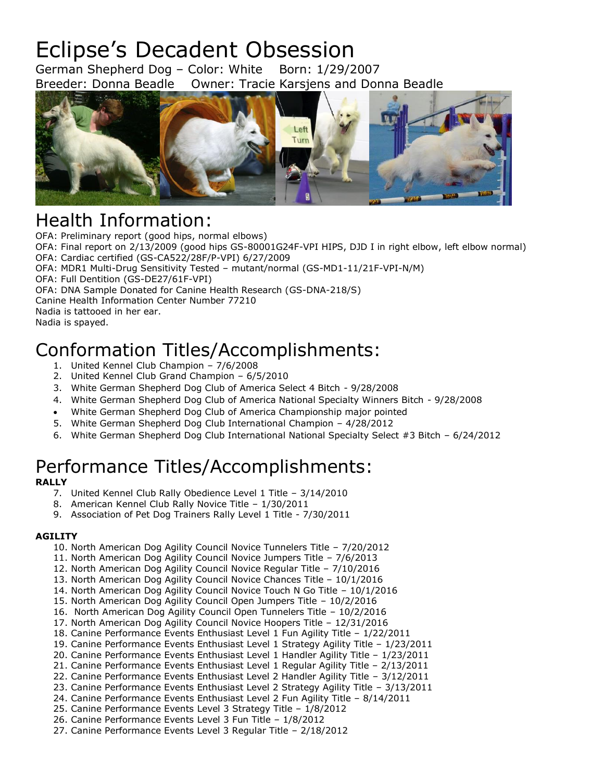# Eclipse's Decadent Obsession

German Shepherd Dog – Color: White Born: 1/29/2007 Breeder: Donna Beadle Owner: Tracie Karsjens and Donna Beadle



### Health Information:

OFA: Preliminary report (good hips, normal elbows)

OFA: Final report on 2/13/2009 (good hips GS-80001G24F-VPI HIPS, DJD I in right elbow, left elbow normal) OFA: Cardiac certified (GS-CA522/28F/P-VPI) 6/27/2009

OFA: MDR1 Multi-Drug Sensitivity Tested – mutant/normal (GS-MD1-11/21F-VPI-N/M)

OFA: Full Dentition (GS-DE27/61F-VPI)

OFA: DNA Sample Donated for Canine Health Research (GS-DNA-218/S)

Canine Health Information Center Number 77210

Nadia is tattooed in her ear.

Nadia is spayed.

## Conformation Titles/Accomplishments:

- 1. United Kennel Club Champion 7/6/2008
- 2. United Kennel Club Grand Champion 6/5/2010
- 3. White German Shepherd Dog Club of America Select 4 Bitch 9/28/2008
- 4. White German Shepherd Dog Club of America National Specialty Winners Bitch 9/28/2008
- White German Shepherd Dog Club of America Championship major pointed
- 5. White German Shepherd Dog Club International Champion 4/28/2012
- 6. White German Shepherd Dog Club International National Specialty Select #3 Bitch 6/24/2012

## Performance Titles/Accomplishments:

#### **RALLY**

- 7. United Kennel Club Rally Obedience Level 1 Title 3/14/2010
- 8. American Kennel Club Rally Novice Title 1/30/2011
- 9. Association of Pet Dog Trainers Rally Level 1 Title 7/30/2011

#### **AGILITY**

- 10. North American Dog Agility Council Novice Tunnelers Title 7/20/2012
- 11. North American Dog Agility Council Novice Jumpers Title 7/6/2013
- 12. North American Dog Agility Council Novice Regular Title 7/10/2016
- 13. North American Dog Agility Council Novice Chances Title 10/1/2016
- 14. North American Dog Agility Council Novice Touch N Go Title 10/1/2016
- 15. North American Dog Agility Council Open Jumpers Title 10/2/2016
- 16. North American Dog Agility Council Open Tunnelers Title 10/2/2016
- 17. North American Dog Agility Council Novice Hoopers Title 12/31/2016
- 18. Canine Performance Events Enthusiast Level 1 Fun Agility Title 1/22/2011
- 19. Canine Performance Events Enthusiast Level 1 Strategy Agility Title 1/23/2011
- 20. Canine Performance Events Enthusiast Level 1 Handler Agility Title 1/23/2011
- 21. Canine Performance Events Enthusiast Level 1 Regular Agility Title 2/13/2011
- 22. Canine Performance Events Enthusiast Level 2 Handler Agility Title 3/12/2011
- 23. Canine Performance Events Enthusiast Level 2 Strategy Agility Title 3/13/2011
- 24. Canine Performance Events Enthusiast Level 2 Fun Agility Title 8/14/2011
- 25. Canine Performance Events Level 3 Strategy Title 1/8/2012
- 26. Canine Performance Events Level 3 Fun Title 1/8/2012 27. Canine Performance Events Level 3 Regular Title – 2/18/2012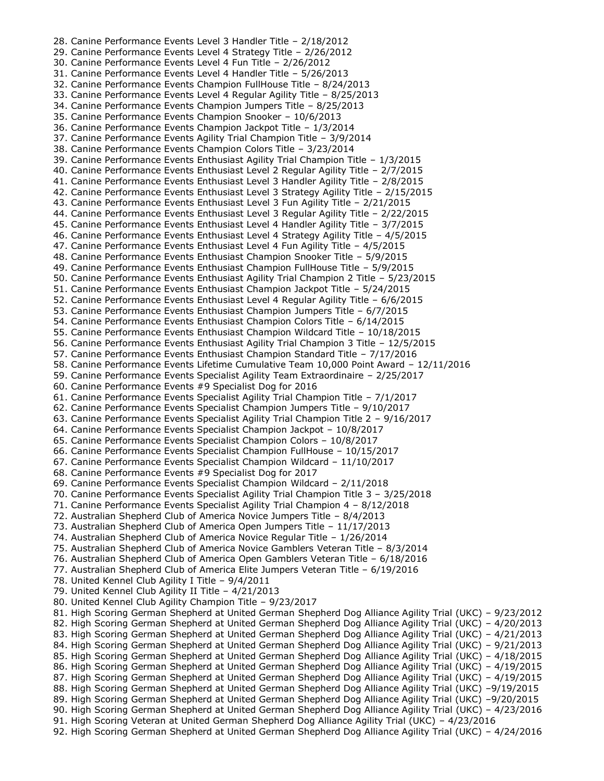28. Canine Performance Events Level 3 Handler Title – 2/18/2012 29. Canine Performance Events Level 4 Strategy Title – 2/26/2012 30. Canine Performance Events Level 4 Fun Title – 2/26/2012 31. Canine Performance Events Level 4 Handler Title – 5/26/2013 32. Canine Performance Events Champion FullHouse Title – 8/24/2013 33. Canine Performance Events Level 4 Regular Agility Title – 8/25/2013 34. Canine Performance Events Champion Jumpers Title – 8/25/2013 35. Canine Performance Events Champion Snooker – 10/6/2013 36. Canine Performance Events Champion Jackpot Title – 1/3/2014 37. Canine Performance Events Agility Trial Champion Title – 3/9/2014 38. Canine Performance Events Champion Colors Title – 3/23/2014 39. Canine Performance Events Enthusiast Agility Trial Champion Title – 1/3/2015 40. Canine Performance Events Enthusiast Level 2 Regular Agility Title – 2/7/2015 41. Canine Performance Events Enthusiast Level 3 Handler Agility Title – 2/8/2015 42. Canine Performance Events Enthusiast Level 3 Strategy Agility Title – 2/15/2015 43. Canine Performance Events Enthusiast Level 3 Fun Agility Title – 2/21/2015 44. Canine Performance Events Enthusiast Level 3 Regular Agility Title – 2/22/2015 45. Canine Performance Events Enthusiast Level 4 Handler Agility Title – 3/7/2015 46. Canine Performance Events Enthusiast Level 4 Strategy Agility Title – 4/5/2015 47. Canine Performance Events Enthusiast Level 4 Fun Agility Title – 4/5/2015 48. Canine Performance Events Enthusiast Champion Snooker Title – 5/9/2015 49. Canine Performance Events Enthusiast Champion FullHouse Title – 5/9/2015 50. Canine Performance Events Enthusiast Agility Trial Champion 2 Title – 5/23/2015 51. Canine Performance Events Enthusiast Champion Jackpot Title – 5/24/2015 52. Canine Performance Events Enthusiast Level 4 Regular Agility Title – 6/6/2015 53. Canine Performance Events Enthusiast Champion Jumpers Title – 6/7/2015 54. Canine Performance Events Enthusiast Champion Colors Title – 6/14/2015 55. Canine Performance Events Enthusiast Champion Wildcard Title – 10/18/2015 56. Canine Performance Events Enthusiast Agility Trial Champion 3 Title – 12/5/2015 57. Canine Performance Events Enthusiast Champion Standard Title – 7/17/2016 58. Canine Performance Events Lifetime Cumulative Team 10,000 Point Award – 12/11/2016 59. Canine Performance Events Specialist Agility Team Extraordinaire – 2/25/2017 60. Canine Performance Events #9 Specialist Dog for 2016 61. Canine Performance Events Specialist Agility Trial Champion Title – 7/1/2017 62. Canine Performance Events Specialist Champion Jumpers Title – 9/10/2017 63. Canine Performance Events Specialist Agility Trial Champion Title 2 – 9/16/2017 64. Canine Performance Events Specialist Champion Jackpot – 10/8/2017 65. Canine Performance Events Specialist Champion Colors – 10/8/2017 66. Canine Performance Events Specialist Champion FullHouse – 10/15/2017 67. Canine Performance Events Specialist Champion Wildcard – 11/10/2017 68. Canine Performance Events #9 Specialist Dog for 2017 69. Canine Performance Events Specialist Champion Wildcard – 2/11/2018 70. Canine Performance Events Specialist Agility Trial Champion Title 3 – 3/25/2018 71. Canine Performance Events Specialist Agility Trial Champion 4 – 8/12/2018 72. Australian Shepherd Club of America Novice Jumpers Title – 8/4/2013 73. Australian Shepherd Club of America Open Jumpers Title – 11/17/2013 74. Australian Shepherd Club of America Novice Regular Title – 1/26/2014 75. Australian Shepherd Club of America Novice Gamblers Veteran Title – 8/3/2014 76. Australian Shepherd Club of America Open Gamblers Veteran Title – 6/18/2016 77. Australian Shepherd Club of America Elite Jumpers Veteran Title – 6/19/2016 78. United Kennel Club Agility I Title – 9/4/2011 79. United Kennel Club Agility II Title – 4/21/2013 80. United Kennel Club Agility Champion Title – 9/23/2017 81. High Scoring German Shepherd at United German Shepherd Dog Alliance Agility Trial (UKC) – 9/23/2012 82. High Scoring German Shepherd at United German Shepherd Dog Alliance Agility Trial (UKC) – 4/20/2013 83. High Scoring German Shepherd at United German Shepherd Dog Alliance Agility Trial (UKC) – 4/21/2013 84. High Scoring German Shepherd at United German Shepherd Dog Alliance Agility Trial (UKC) – 9/21/2013 85. High Scoring German Shepherd at United German Shepherd Dog Alliance Agility Trial (UKC) – 4/18/2015 86. High Scoring German Shepherd at United German Shepherd Dog Alliance Agility Trial (UKC) – 4/19/2015 87. High Scoring German Shepherd at United German Shepherd Dog Alliance Agility Trial (UKC) – 4/19/2015 88. High Scoring German Shepherd at United German Shepherd Dog Alliance Agility Trial (UKC) -9/19/2015 89. High Scoring German Shepherd at United German Shepherd Dog Alliance Agility Trial (UKC) -9/20/2015 90. High Scoring German Shepherd at United German Shepherd Dog Alliance Agility Trial (UKC) – 4/23/2016 91. High Scoring Veteran at United German Shepherd Dog Alliance Agility Trial (UKC) – 4/23/2016 92. High Scoring German Shepherd at United German Shepherd Dog Alliance Agility Trial (UKC) – 4/24/2016